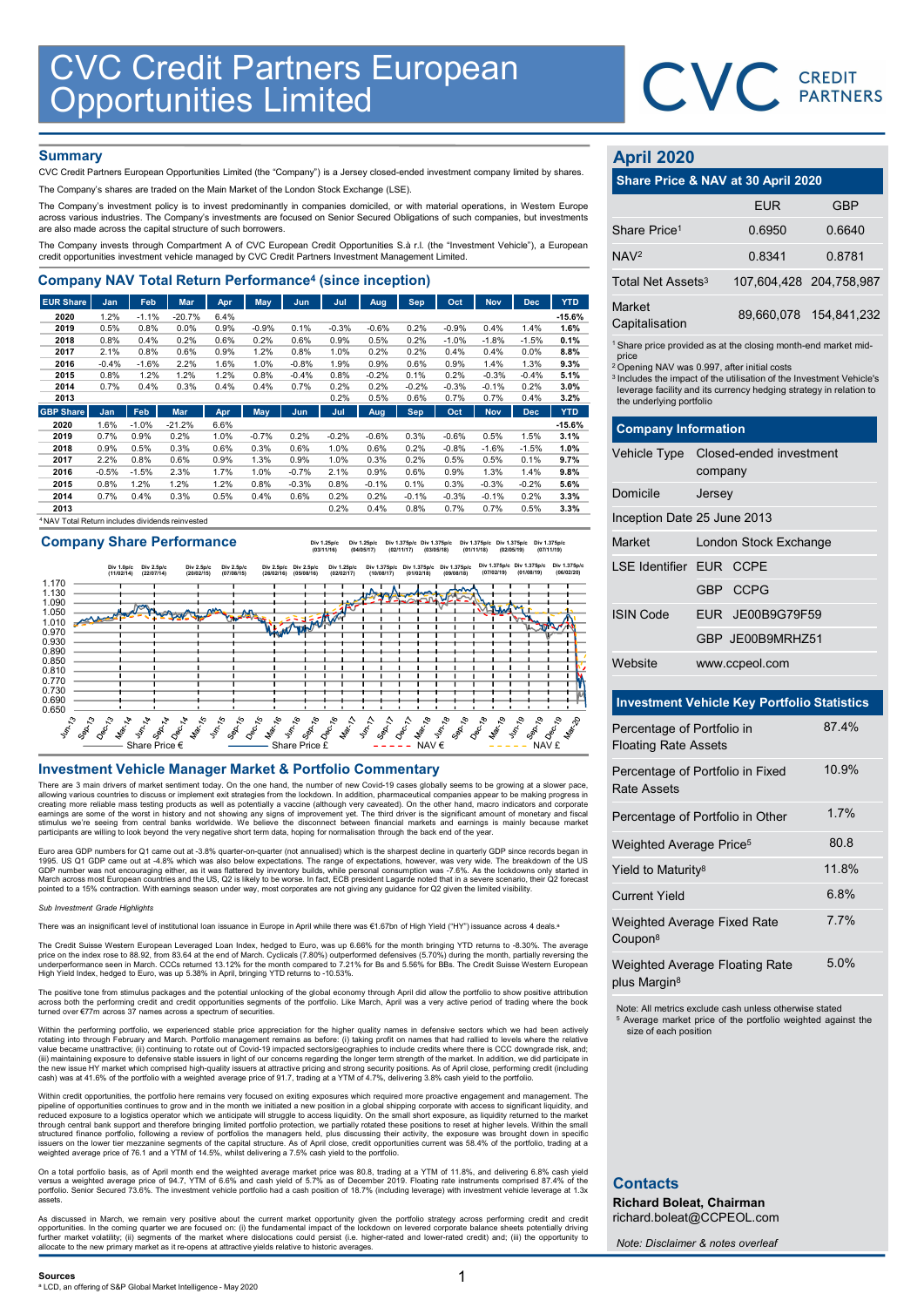

# **Summary**

| <b>CVC Credit Partners European<br/>Opportunities Limited</b>                                                                                                                                                                                                          |                 |                 |                  |              |              |                 |              |                 |                 |                 |                    |                 |                  |                               |                                                                               |                        |
|------------------------------------------------------------------------------------------------------------------------------------------------------------------------------------------------------------------------------------------------------------------------|-----------------|-----------------|------------------|--------------|--------------|-----------------|--------------|-----------------|-----------------|-----------------|--------------------|-----------------|------------------|-------------------------------|-------------------------------------------------------------------------------|------------------------|
|                                                                                                                                                                                                                                                                        |                 |                 |                  |              |              |                 |              |                 |                 |                 |                    |                 |                  |                               | <b>CVC</b> CREDIT                                                             |                        |
|                                                                                                                                                                                                                                                                        |                 |                 |                  |              |              |                 |              |                 |                 |                 |                    |                 |                  |                               |                                                                               |                        |
|                                                                                                                                                                                                                                                                        |                 |                 |                  |              |              |                 |              |                 |                 |                 |                    |                 |                  |                               |                                                                               |                        |
| <b>Summary</b>                                                                                                                                                                                                                                                         |                 |                 |                  |              |              |                 |              |                 |                 |                 |                    |                 |                  | <b>April 2020</b>             |                                                                               |                        |
| CVC Credit Partners European Opportunities Limited (the "Company") is a Jersey closed-ended investment company limited by shares.                                                                                                                                      |                 |                 |                  |              |              |                 |              |                 |                 |                 |                    |                 |                  |                               | Share Price & NAV at 30 April 2020                                            |                        |
| The Company's shares are traded on the Main Market of the London Stock Exchange (LSE).                                                                                                                                                                                 |                 |                 |                  |              |              |                 |              |                 |                 |                 |                    |                 |                  |                               |                                                                               |                        |
| The Company's investment policy is to invest predominantly in companies domiciled, or with material operations, in Western Europe<br>across various industries. The Company's investments are focused on Senior Secured Obligations of such companies, but investments |                 |                 |                  |              |              |                 |              |                 |                 |                 |                    |                 |                  |                               | <b>FUR</b>                                                                    | <b>GBP</b>             |
| are also made across the capital structure of such borrowers.                                                                                                                                                                                                          |                 |                 |                  |              |              |                 |              |                 |                 |                 |                    |                 |                  | Share Price <sup>1</sup>      | 0.6950                                                                        | 0.6640                 |
| The Company invests through Compartment A of CVC European Credit Opportunities S.à r.l. (the "Investment Vehicle"), a European<br>credit opportunities investment vehicle managed by CVC Credit Partners Investment Management Limited.                                |                 |                 |                  |              |              |                 |              |                 |                 |                 |                    |                 |                  | NAV <sup>2</sup>              | 0.8341                                                                        | 0.8781                 |
| <b>Company NAV Total Return Performance<sup>4</sup> (since inception)</b>                                                                                                                                                                                              |                 |                 |                  |              |              |                 |              |                 |                 |                 |                    |                 |                  | Total Net Assets <sup>3</sup> |                                                                               | 107,604,428 204,758,98 |
| <b>EUR Share</b>                                                                                                                                                                                                                                                       | <b>Jan</b>      | Feb             | Mar              | Apr          | <b>May</b>   | Jun             | Jul          | Aug             | <b>Sep</b>      | Oct             | <b>Nov</b>         | <b>Dec</b>      | <b>YTD</b>       | Market                        |                                                                               |                        |
| 2020<br>2019                                                                                                                                                                                                                                                           | 1.2%<br>0.5%    | $-1.1%$<br>0.8% | $-20.7%$<br>0.0% | 6.4%<br>0.9% | $-0.9%$      | 0.1%            | $-0.3%$      | $-0.6%$         | 0.2%            | $-0.9%$         | 0.4%               | 1.4%            | $-15.6%$<br>1.6% | Capitalisation                |                                                                               | 89,660,078 154,841,23  |
| 2018                                                                                                                                                                                                                                                                   | 0.8%            | 0.4%            | 0.2%             | 0.6%         | 0.2%         | 0.6%            | 0.9%         | 0.5%            | 0.2%            | $-1.0%$         | $-1.8%$            | $-1.5%$         | 0.1%             |                               |                                                                               |                        |
| 2017                                                                                                                                                                                                                                                                   | 2.1%            | 0.8%            | 0.6%             | 0.9%         | 1.2%         | 0.8%            | 1.0%         | 0.2%            | 0.2%            | 0.4%            | 0.4%               | 0.0%            | 8.8%             | price                         | <sup>1</sup> Share price provided as at the closing month-end market mid      |                        |
| 2016                                                                                                                                                                                                                                                                   | $-0.4%$         | $-1.6%$         | 2.2%             | 1.6%         | 1.0%         | $-0.8%$         | 1.9%         | 0.9%            | 0.6%            | 0.9%            | 1.4%               | 1.3%            | 9.3%             |                               | <sup>2</sup> Opening NAV was 0.997, after initial costs                       |                        |
| 2015<br>2014                                                                                                                                                                                                                                                           | 0.8%<br>0.7%    | 1.2%<br>0.4%    | 1.2%<br>0.3%     | 1.2%<br>0.4% | 0.8%<br>0.4% | $-0.4%$<br>0.7% | 0.8%<br>0.2% | $-0.2%$<br>0.2% | 0.1%<br>$-0.2%$ | 0.2%<br>$-0.3%$ | $-0.3%$<br>$-0.1%$ | $-0.4%$<br>0.2% | 5.1%<br>3.0%     |                               | <sup>3</sup> Includes the impact of the utilisation of the Investment Vehicle |                        |
| 2013                                                                                                                                                                                                                                                                   |                 |                 |                  |              |              |                 | 0.2%         | 0.5%            | 0.6%            | 0.7%            | 0.7%               | 0.4%            | 3.2%             | the underlying portfolio      | leverage facility and its currency hedging strategy in relation t             |                        |
| <b>GBP Share</b>                                                                                                                                                                                                                                                       | Jan             | Feb             | Mar              | Apr          | May          | <b>Jun</b>      | Jul          | Aug             | <b>Sep</b>      | Oct             | <b>Nov</b>         | <b>Dec</b>      | <b>YTD</b>       |                               |                                                                               |                        |
| 2020                                                                                                                                                                                                                                                                   | 1.6%            | $-1.0%$         | $-21.2%$         | 6.6%         |              |                 |              |                 |                 |                 |                    |                 | $-15.6%$         | <b>Company Information</b>    |                                                                               |                        |
| 2019                                                                                                                                                                                                                                                                   | 0.7%            | 0.9%            | 0.2%             | 1.0%         | $-0.7%$      | 0.2%            | $-0.2%$      | $-0.6%$         | 0.3%            | $-0.6%$         | 0.5%               | 1.5%            | 3.1%             |                               |                                                                               |                        |
| 2018                                                                                                                                                                                                                                                                   | 0.9%            | 0.5%            | 0.3%             | 0.6%         | 0.3%         | 0.6%            | 1.0%         | 0.6%            | 0.2%            | $-0.8%$         | $-1.6%$            | $-1.5%$         | 1.0%             | <b>Vehicle Type</b>           | Closed-ended investment                                                       |                        |
| 2017<br>2016                                                                                                                                                                                                                                                           | 2.2%<br>$-0.5%$ | 0.8%<br>$-1.5%$ | 0.6%<br>2.3%     | 0.9%<br>1.7% | 1.3%<br>1.0% | 0.9%<br>$-0.7%$ | 1.0%<br>2.1% | 0.3%<br>0.9%    | 0.2%<br>0.6%    | 0.5%<br>0.9%    | 0.5%<br>1.3%       | 0.1%<br>1.4%    | 9.7%<br>9.8%     |                               | company                                                                       |                        |
| 2015                                                                                                                                                                                                                                                                   | 0.8%            | 1.2%            | 1.2%             | 1.2%         | 0.8%         | $-0.3%$         | 0.8%         | $-0.1%$         | 0.1%            | 0.3%            | $-0.3%$            | $-0.2%$         | 5.6%             |                               |                                                                               |                        |
| 2014                                                                                                                                                                                                                                                                   | 0.7%            | 0.4%            | 0.3%             | 0.5%         | 0.4%         | 0.6%            | 0.2%         | 0.2%            | $-0.1%$         | $-0.3%$         | $-0.1%$            | 0.2%            | 3.3%             | Domicile                      | Jersey                                                                        |                        |
| 2013                                                                                                                                                                                                                                                                   |                 |                 |                  |              |              |                 | 0.2%         | 0.4%            | 0.8%            | 0.7%            | 0.7%               | 0.5%            | 3.3%             |                               |                                                                               |                        |
| <sup>4</sup> NAV Total Return includes dividends reinvested                                                                                                                                                                                                            |                 |                 |                  |              |              |                 |              |                 |                 |                 |                    |                 |                  | Inception Date 25 June 2013   |                                                                               |                        |

Company Share Performance

Div 1.25p/c (03/11/16) Div 1.25p/c (04/05/17) Div 1.375p/c (02/11/17) Div 1.375p/c (03/05/18) Div 1.375p/c (01/11/18) Div 1.375p/c (02/05/19) Div 1.375p/c (07/11/19)



There are 3 main drivers of market sentiment today. On the one hand, the number of new Covid-19 cases globally seems to be growing at a slower pace,<br>allowing various countries to discuss or implement exit strategies from t creating more reliable mass testing products as well as potentially a vaccine (although very caveated). On the other hand, macro indicators and corporate<br>earnings are some of the worst in history and not showing any signs

Euro area GDP numbers for Q1 came out at -3.8% quarter-on-quarter (not annualised) which is the sharpest decline in quarterly GDP since records began in 1995. US Q1 GDP came out at -4.8% which was also below expectations. The range of expectations, however, was very wide. The breakdown of the US<br>GDP number was not encouraging either, as it was flattered by inventory builds

## Sub Investment Grade Highlights

There was an insignificant level of institutional loan issuance in Europe in April while there was €1.67bn of High Yield ("HY") issuance across 4 deals.<sup>s</sup>

The Credit Suisse Western European Leveraged Loan Index, hedged to Euro, was up 6.66% for the month bringing YTD returns to -8.30%. The average<br>price on the index rose to 88.92, from 83.64 at the end of March. Cyclicals (7 High Yield Index, hedged to Euro, was up 5.38% in April, bringing YTD returns to -10.53%.

The positive tone from stimulus packages and the potential unlocking of the global economy through April did allow the portfolio to show positive attribution<br>across both the performing credit and credit opportunities segme

Within the performing portfolio, we experienced stable price appreciation for the higher quality names in defensive sectors which we had been actively<br>colating into through February and March. Portfolio management remains

Within credit opportunities, the portfolio here remains very focused on exiting exposures which required more proactive engagement and management. The pipeline of opportunities, cnointents to grow and in the month we initi

On a total portfolio basis, as of April month end the weighted average market price was 80.8, trading at a YTM of 11.8%, and delivering 6.8% cash yield<br>versus a weighted average price of 94.7, YTM of 6.6% and cash yield of portfolio. Senior Secured 73.6%. The investment vehicle portfolio had a cash position of 18.7% (including leverage) with investment vehicle leverage at 1.3x assets.

As discussed in March, we remain very positive about the current market opportunity given the portfolio strategy across performing credit and credit poportunities. In the coming quarter we are focused on: (i) the fundament

# April 2020

|                                 | CVC CREDIT                                                                                                                                                                                                       |                        |
|---------------------------------|------------------------------------------------------------------------------------------------------------------------------------------------------------------------------------------------------------------|------------------------|
|                                 |                                                                                                                                                                                                                  |                        |
| <b>April 2020</b>               |                                                                                                                                                                                                                  |                        |
|                                 | Share Price & NAV at 30 April 2020                                                                                                                                                                               |                        |
|                                 | <b>EUR</b>                                                                                                                                                                                                       | <b>GBP</b>             |
| Share Price <sup>1</sup>        | 0.6950                                                                                                                                                                                                           | 0.6640                 |
| NAV <sup>2</sup>                | 0.8341                                                                                                                                                                                                           | 0.8781                 |
| Total Net Assets <sup>3</sup>   | 107,604,428                                                                                                                                                                                                      | 204,758,987            |
| <b>Market</b><br>Capitalisation |                                                                                                                                                                                                                  | 89,660,078 154,841,232 |
| price                           | <sup>1</sup> Share price provided as at the closing month-end market mid-                                                                                                                                        |                        |
| the underlying portfolio        | <sup>2</sup> Opening NAV was 0.997, after initial costs<br><sup>3</sup> Includes the impact of the utilisation of the Investment Vehicle's<br>leverage facility and its currency hedging strategy in relation to |                        |
| <b>Company Information</b>      |                                                                                                                                                                                                                  |                        |
| Vehicle Type                    | Closed-ended investment                                                                                                                                                                                          |                        |
|                                 | company                                                                                                                                                                                                          |                        |
| Domicile                        | Jersey                                                                                                                                                                                                           |                        |
|                                 | Inception Date 25 June 2013                                                                                                                                                                                      |                        |
| Market                          | London Stock Exchange                                                                                                                                                                                            |                        |

| <b>April 2020</b>              |                                                                                                                                                                                                                                                                                                                           |             |  |  |  |
|--------------------------------|---------------------------------------------------------------------------------------------------------------------------------------------------------------------------------------------------------------------------------------------------------------------------------------------------------------------------|-------------|--|--|--|
|                                | Share Price & NAV at 30 April 2020                                                                                                                                                                                                                                                                                        |             |  |  |  |
|                                | <b>EUR</b>                                                                                                                                                                                                                                                                                                                | <b>GBP</b>  |  |  |  |
| Share Price <sup>1</sup>       | 0.6950                                                                                                                                                                                                                                                                                                                    | 0.6640      |  |  |  |
| NAV <sup>2</sup>               | 0.8341                                                                                                                                                                                                                                                                                                                    | 0.8781      |  |  |  |
| Total Net Assets <sup>3</sup>  | 107,604,428                                                                                                                                                                                                                                                                                                               | 204,758,987 |  |  |  |
| Market<br>Capitalisation       | 89,660,078                                                                                                                                                                                                                                                                                                                | 154,841,232 |  |  |  |
| price                          | <sup>1</sup> Share price provided as at the closing month-end market mid-<br><sup>2</sup> Opening NAV was 0.997, after initial costs<br><sup>3</sup> Includes the impact of the utilisation of the Investment Vehicle's<br>leverage facility and its currency hedging strategy in relation to<br>the underlying portfolio |             |  |  |  |
| <b>Company Information</b>     |                                                                                                                                                                                                                                                                                                                           |             |  |  |  |
| Vehicle Type                   | Closed-ended investment<br>company                                                                                                                                                                                                                                                                                        |             |  |  |  |
| Domicile                       | Jersey                                                                                                                                                                                                                                                                                                                    |             |  |  |  |
|                                | Inception Date 25 June 2013                                                                                                                                                                                                                                                                                               |             |  |  |  |
| Market                         | London Stock Exchange                                                                                                                                                                                                                                                                                                     |             |  |  |  |
| <b>LSE Identifier EUR CCPE</b> |                                                                                                                                                                                                                                                                                                                           |             |  |  |  |
|                                | <b>GBP</b><br><b>CCPG</b>                                                                                                                                                                                                                                                                                                 |             |  |  |  |
| <b>ISIN Code</b>               | EUR JE00B9G79F59                                                                                                                                                                                                                                                                                                          |             |  |  |  |
|                                | GBP JE00B9MRHZ51                                                                                                                                                                                                                                                                                                          |             |  |  |  |
| Website                        | www.ccpeol.com                                                                                                                                                                                                                                                                                                            |             |  |  |  |
|                                |                                                                                                                                                                                                                                                                                                                           |             |  |  |  |
|                                | <b>Investment Vehicle Key Portfolio Statistics</b>                                                                                                                                                                                                                                                                        | 874%        |  |  |  |
| Percentage of Portfolio in     |                                                                                                                                                                                                                                                                                                                           |             |  |  |  |

# Investment Vehicle Key Portfolio Statistics

| Percentage of Portfolio in<br><b>Floating Rate Assets</b>  | 87.4%   |
|------------------------------------------------------------|---------|
| Percentage of Portfolio in Fixed<br>Rate Assets            | 10.9%   |
| Percentage of Portfolio in Other                           | 1.7%    |
| Weighted Average Price <sup>5</sup>                        | 80.8    |
| Yield to Maturity <sup>8</sup>                             | 11.8%   |
| <b>Current Yield</b>                                       | 6.8%    |
| Weighted Average Fixed Rate<br>Coupon <sup>8</sup>         | $7.7\%$ |
| Weighted Average Floating Rate<br>plus Margin <sup>8</sup> | 5.0%    |

Note: All metrics exclude cash unless otherwise stated Average market price of the portfolio weighted against the size of each position

# **Contacts**

Richard Boleat, Chairman richard.boleat@CCPEOL.com

Note: Disclaimer & notes overleaf